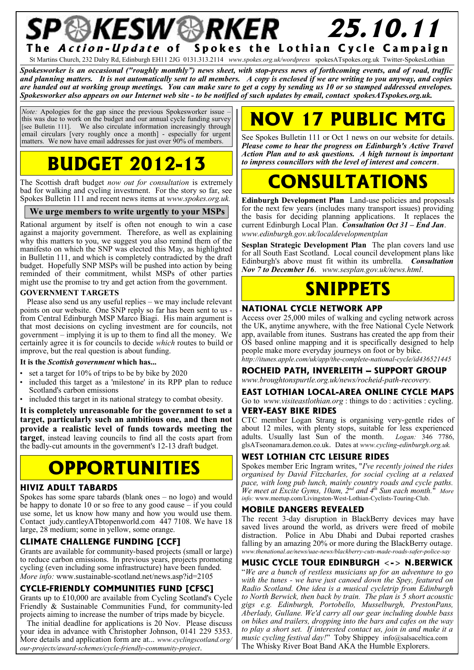### P**&KESW&RKER** 25.10.11 The *Action-Update* of Spokes the Lothian Cycle Campaign

St Martins Church, 232 Dalry Rd, Edinburgh EH11 2JG 0131.313.2114 *www.spokes.org.uk/wordpress* spokesATspokes.org.uk Twitter-SpokesLothian

*Spokesworker is an occasional ("roughly monthly") news sheet, with stop-press news of forthcoming events, and of road, traffic and planning matters. It is not automatically sent to all members. A copy is enclosed if we are writing to you anyway, and copies are handed out at working group meetings. You can make sure to get a copy by sending us 10 or so stamped addressed envelopes. Spokesworker also appears on our Internet web site - to be notified of such updates by email, contact spokesATspokes.org.uk.*

*Note:* Apologies for the gap since the previous Spokesworker issue this was due to work on the budget and our annual cycle funding survey [see Bulletin 111]. We also circulate information increasingly through email circulars [very roughly once a month] - especially for urgent matters. We now have email addresses for just over 90% of members.

# **BUDGET 2012-13**

The Scottish draft budget *now out for consultation* is extremely bad for walking and cycling investment. For the story so far, see Spokes Bulletin 111 and recent news items at *www.spokes.org.uk.*

#### **We urge members to write urgently to your MSPs**

Rational argument by itself is often not enough to win a case against a majority government. Therefore, as well as explaining why this matters to you, we suggest you also remind them of the manifesto on which the SNP was elected this May, as highlighted in Bulletin 111, and which is completely contradicted by the draft budget. Hopefully SNP MSPs will be pushed into action by being reminded of their commitment, whilst MSPs of other parties might use the promise to try and get action from the government.

#### **GOVERNMENT TARGETS**

Please also send us any useful replies – we may include relevant points on our website. One SNP reply so far has been sent to us from Central Edinburgh MSP Marco Biagi. His main argument is that most decisions on cycling investment are for councils, not government – implying it is up to them to find all the money. We certainly agree it is for councils to decide *which* routes to build or improve, but the real question is about funding.

#### **It is the** *Scottish government* **which has...**

- set a target for  $10\%$  of trips to be by bike by  $2020$
- included this target as a 'milestone' in its RPP plan to reduce Scotland's carbon emissions
- included this target in its national strategy to combat obesity.

**It is completely unreasonable for the government to set a target, particularly such an ambitious one, and then not provide a realistic level of funds towards meeting the target**, instead leaving councils to find all the costs apart from the badly-cut amounts in the government's 12-13 draft budget.

### **OPPORTUNITIES**

#### **HIVIZ ADULT TABARDS**

Spokes has some spare tabards (blank ones – no logo) and would be happy to donate 10 or so free to any good cause – if you could use some, let us know how many and how you would use them. Contact judy.cantleyATbtopenworld.com 447 7108. We have 18 large, 28 medium; some in yellow, some orange.

#### **CLIMATE CHALLENGE FUNDING [CCF]**

Grants are available for community-based projects (small or large) to reduce carbon emissions. In previous years, projects promoting cycling (even including some infrastructure) have been funded. *More info:* www.sustainable-scotland.net/news.asp?id=2105

#### **CYCLE-FRIENDLY COMMUNITIES FUND [CFSC]**

Grants up to £10,000 are available from Cycling Scotland's Cycle Friendly & Sustainable Communities Fund, for community-led projects aiming to increase the number of trips made by bicycle.

The initial deadline for applications is 20 Nov. Please discuss your idea in advance with Christopher Johnson, 0141 229 5353. More details and application form are at... *www.cyclingscotland.org/ our-projects/award-schemes/cycle-friendly-community-project*.

# **17 PUBLIC M**

See Spokes Bulletin 111 or Oct 1 news on our website for details. *Please come to hear the progress on Edinburgh's Active Travel Action Plan and to ask questions. A high turnout is important to impress councillors with the level of interest and concern*.

# **CONSULTATIONS**

**Edinburgh Development Plan** Land-use policies and proposals for the next few years (includes many transport issues) providing the basis for deciding planning applications. It replaces the current Edinburgh Local Plan. *Consultation Oct 31 – End Jan*. *www.edinburgh.gov.uk/localdevelopmentplan*

**Sesplan Strategic Development Plan** The plan covers land use for all South East Scotland. Local council development plans like Edinburgh's above must fit within its umbrella. *Consultation Nov 7 to December 16*. *www.sesplan.gov.uk/news.html*.

### **SNIPPETS**

#### **NATIONAL CYCLE NETWORK APP**

Access over 25,000 miles of walking and cycling network across the UK, anytime anywhere, with the free National Cycle Network app, available from itunes. Sustrans has created the app from their OS based online mapping and it is specifically designed to help people make more everyday journeys on foot or by bike. *http://itunes.apple.com/uk/app/the-complete-national-cycle/id436521445*

#### **ROCHEID PATH, INVERLEITH – SUPPORT GROUP**

*www.broughtonspurtle.org.uk/news/rocheid-path-recovery.*

**EAST LOTHIAN LOCAL-AREA ONLINE CYCLE MAPS** Go to *www.visiteastlothian.org* : things to do : activities : cycling. **VERY-EASY BIKE RIDES**

#### CTC member Logan Strang is organising very-gentle rides of about 12 miles, with plenty stops, suitable for less experienced adults. Usually last Sun of the month. *Logan:* 346 7786, glsATseonamara.demon.co.uk. Dates at *www.cycling-edinburgh.org.uk.*

#### **WEST LOTHIAN CTC LEISURE RIDES**

Spokes member Eric Ingram writes, "*I've recently joined the rides organised by David Fitzcharles, for social cycling at a relaxed pace, with long pub lunch, mainly country roads and cycle paths. We meet at Excite Gyms, 10am, 2nd and 4th Sun each month.*" *More info:* www.meetup.com/Livingston-West-Lothian-Cyclists-Touring-Club.

#### **MOBILE DANGERS REVEALED**

The recent 3-day disruption in BlackBerry devices may have saved lives around the world, as drivers were freed of mobile distraction. Police in Abu Dhabi and Dubai reported crashes falling by an amazing 20% or more during the BlackBerry outage. *www.thenational.ae/news/uae-news/blackberry-cuts-made-roads-safer-police-say*

#### **MUSIC CYCLE TOUR EDINBURGH <-> N.BERWICK**

"*We are a bunch of restless musicians up for an adventure to go with the tunes - we have just canoed down the Spey, featured on Radio Scotland. One idea is a musical cycletrip from Edinburgh to North Berwick, then back by train. The plan is 5 short acoustic gigs e.g. Edinburgh, Portobello, Musselburgh, PrestonPans, Aberlady, Gullane. We'd carry all our gear including double bass on bikes and trailers, dropping into the bars and cafes on the way to play a short set. If interested contact us, join in and make it a music cycling festival day!*" Toby Shippey info@salsaceltica.com The Whisky River Boat Band AKA the Humble Explorers.